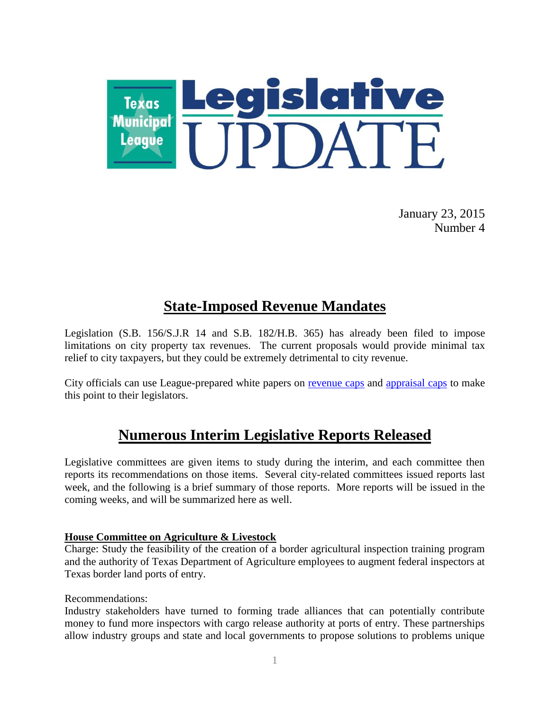

January 23, 2015 Number 4

# **State-Imposed Revenue Mandates**

Legislation (S.B. 156/S.J.R 14 and S.B. 182/H.B. 365) has already been filed to impose limitations on city property tax revenues. The current proposals would provide minimal tax relief to city taxpayers, but they could be extremely detrimental to city revenue.

City officials can use League-prepared white papers on [revenue caps](http://www.tml.org/p/RevenueCaps_TML_Jan_2015.pdf) and [appraisal caps](http://www.tml.org/p/AppraisalCaps_TML_Jan2015.pdf) to make this point to their legislators.

# **Numerous Interim Legislative Reports Released**

Legislative committees are given items to study during the interim, and each committee then reports its recommendations on those items. Several city-related committees issued reports last week, and the following is a brief summary of those reports. More reports will be issued in the coming weeks, and will be summarized here as well.

### **House Committee on Agriculture & Livestock**

Charge: Study the feasibility of the creation of a border agricultural inspection training program and the authority of Texas Department of Agriculture employees to augment federal inspectors at Texas border land ports of entry.

Recommendations:

Industry stakeholders have turned to forming trade alliances that can potentially contribute money to fund more inspectors with cargo release authority at ports of entry. These partnerships allow industry groups and state and local governments to propose solutions to problems unique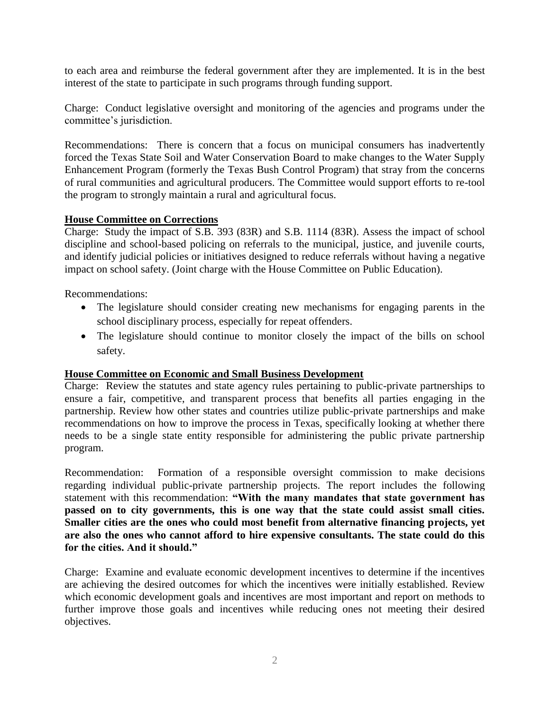to each area and reimburse the federal government after they are implemented. It is in the best interest of the state to participate in such programs through funding support.

Charge: Conduct legislative oversight and monitoring of the agencies and programs under the committee's jurisdiction.

Recommendations: There is concern that a focus on municipal consumers has inadvertently forced the Texas State Soil and Water Conservation Board to make changes to the Water Supply Enhancement Program (formerly the Texas Bush Control Program) that stray from the concerns of rural communities and agricultural producers. The Committee would support efforts to re-tool the program to strongly maintain a rural and agricultural focus.

### **House Committee on Corrections**

Charge: Study the impact of S.B. 393 (83R) and S.B. 1114 (83R). Assess the impact of school discipline and school-based policing on referrals to the municipal, justice, and juvenile courts, and identify judicial policies or initiatives designed to reduce referrals without having a negative impact on school safety. (Joint charge with the House Committee on Public Education).

Recommendations:

- The legislature should consider creating new mechanisms for engaging parents in the school disciplinary process, especially for repeat offenders.
- The legislature should continue to monitor closely the impact of the bills on school safety.

### **House Committee on Economic and Small Business Development**

Charge: Review the statutes and state agency rules pertaining to public-private partnerships to ensure a fair, competitive, and transparent process that benefits all parties engaging in the partnership. Review how other states and countries utilize public-private partnerships and make recommendations on how to improve the process in Texas, specifically looking at whether there needs to be a single state entity responsible for administering the public private partnership program.

Recommendation: Formation of a responsible oversight commission to make decisions regarding individual public-private partnership projects. The report includes the following statement with this recommendation: **"With the many mandates that state government has passed on to city governments, this is one way that the state could assist small cities. Smaller cities are the ones who could most benefit from alternative financing projects, yet are also the ones who cannot afford to hire expensive consultants. The state could do this for the cities. And it should."**

Charge: Examine and evaluate economic development incentives to determine if the incentives are achieving the desired outcomes for which the incentives were initially established. Review which economic development goals and incentives are most important and report on methods to further improve those goals and incentives while reducing ones not meeting their desired objectives.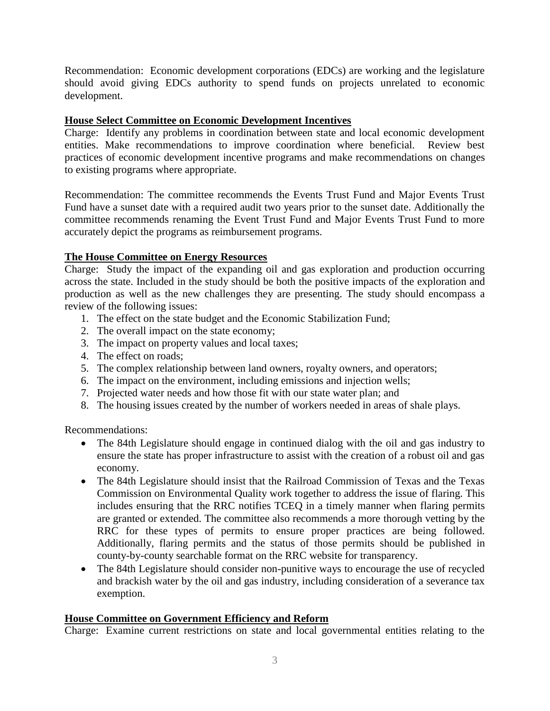Recommendation: Economic development corporations (EDCs) are working and the legislature should avoid giving EDCs authority to spend funds on projects unrelated to economic development.

## **House Select Committee on Economic Development Incentives**

Charge: Identify any problems in coordination between state and local economic development entities. Make recommendations to improve coordination where beneficial. Review best practices of economic development incentive programs and make recommendations on changes to existing programs where appropriate.

Recommendation: The committee recommends the Events Trust Fund and Major Events Trust Fund have a sunset date with a required audit two years prior to the sunset date. Additionally the committee recommends renaming the Event Trust Fund and Major Events Trust Fund to more accurately depict the programs as reimbursement programs.

## **The House Committee on Energy Resources**

Charge: Study the impact of the expanding oil and gas exploration and production occurring across the state. Included in the study should be both the positive impacts of the exploration and production as well as the new challenges they are presenting. The study should encompass a review of the following issues:

- 1. The effect on the state budget and the Economic Stabilization Fund;
- 2. The overall impact on the state economy;
- 3. The impact on property values and local taxes;
- 4. The effect on roads;
- 5. The complex relationship between land owners, royalty owners, and operators;
- 6. The impact on the environment, including emissions and injection wells;
- 7. Projected water needs and how those fit with our state water plan; and
- 8. The housing issues created by the number of workers needed in areas of shale plays.

Recommendations:

- The 84th Legislature should engage in continued dialog with the oil and gas industry to ensure the state has proper infrastructure to assist with the creation of a robust oil and gas economy.
- The 84th Legislature should insist that the Railroad Commission of Texas and the Texas Commission on Environmental Quality work together to address the issue of flaring. This includes ensuring that the RRC notifies TCEQ in a timely manner when flaring permits are granted or extended. The committee also recommends a more thorough vetting by the RRC for these types of permits to ensure proper practices are being followed. Additionally, flaring permits and the status of those permits should be published in county-by-county searchable format on the RRC website for transparency.
- The 84th Legislature should consider non-punitive ways to encourage the use of recycled and brackish water by the oil and gas industry, including consideration of a severance tax exemption.

### **House Committee on Government Efficiency and Reform**

Charge: Examine current restrictions on state and local governmental entities relating to the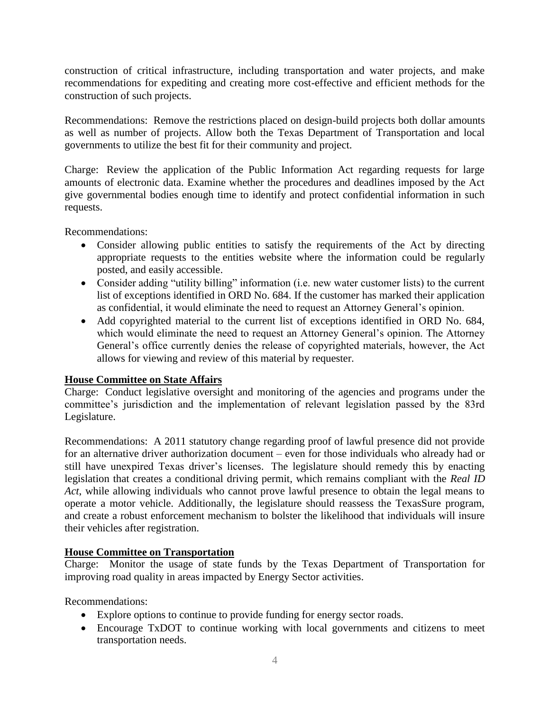construction of critical infrastructure, including transportation and water projects, and make recommendations for expediting and creating more cost-effective and efficient methods for the construction of such projects.

Recommendations: Remove the restrictions placed on design-build projects both dollar amounts as well as number of projects. Allow both the Texas Department of Transportation and local governments to utilize the best fit for their community and project.

Charge: Review the application of the Public Information Act regarding requests for large amounts of electronic data. Examine whether the procedures and deadlines imposed by the Act give governmental bodies enough time to identify and protect confidential information in such requests.

Recommendations:

- Consider allowing public entities to satisfy the requirements of the Act by directing appropriate requests to the entities website where the information could be regularly posted, and easily accessible.
- Consider adding "utility billing" information (i.e. new water customer lists) to the current list of exceptions identified in ORD No. 684. If the customer has marked their application as confidential, it would eliminate the need to request an Attorney General's opinion.
- Add copyrighted material to the current list of exceptions identified in ORD No. 684, which would eliminate the need to request an Attorney General's opinion. The Attorney General's office currently denies the release of copyrighted materials, however, the Act allows for viewing and review of this material by requester.

### **House Committee on State Affairs**

Charge: Conduct legislative oversight and monitoring of the agencies and programs under the committee's jurisdiction and the implementation of relevant legislation passed by the 83rd Legislature.

Recommendations: A 2011 statutory change regarding proof of lawful presence did not provide for an alternative driver authorization document – even for those individuals who already had or still have unexpired Texas driver's licenses. The legislature should remedy this by enacting legislation that creates a conditional driving permit, which remains compliant with the *Real ID Act*, while allowing individuals who cannot prove lawful presence to obtain the legal means to operate a motor vehicle. Additionally, the legislature should reassess the TexasSure program, and create a robust enforcement mechanism to bolster the likelihood that individuals will insure their vehicles after registration.

## **House Committee on Transportation**

Charge: Monitor the usage of state funds by the Texas Department of Transportation for improving road quality in areas impacted by Energy Sector activities.

Recommendations:

- Explore options to continue to provide funding for energy sector roads.
- Encourage TxDOT to continue working with local governments and citizens to meet transportation needs.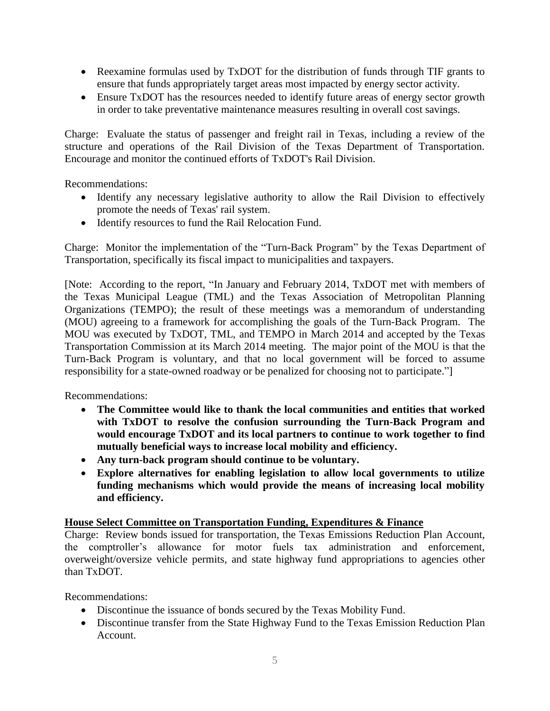- Reexamine formulas used by TxDOT for the distribution of funds through TIF grants to ensure that funds appropriately target areas most impacted by energy sector activity.
- Ensure TxDOT has the resources needed to identify future areas of energy sector growth in order to take preventative maintenance measures resulting in overall cost savings.

Charge: Evaluate the status of passenger and freight rail in Texas, including a review of the structure and operations of the Rail Division of the Texas Department of Transportation. Encourage and monitor the continued efforts of TxDOT's Rail Division.

Recommendations:

- Identify any necessary legislative authority to allow the Rail Division to effectively promote the needs of Texas' rail system.
- Identify resources to fund the Rail Relocation Fund.

Charge: Monitor the implementation of the "Turn-Back Program" by the Texas Department of Transportation, specifically its fiscal impact to municipalities and taxpayers.

[Note: According to the report, "In January and February 2014, TxDOT met with members of the Texas Municipal League (TML) and the Texas Association of Metropolitan Planning Organizations (TEMPO); the result of these meetings was a memorandum of understanding (MOU) agreeing to a framework for accomplishing the goals of the Turn-Back Program. The MOU was executed by TxDOT, TML, and TEMPO in March 2014 and accepted by the Texas Transportation Commission at its March 2014 meeting. The major point of the MOU is that the Turn-Back Program is voluntary, and that no local government will be forced to assume responsibility for a state-owned roadway or be penalized for choosing not to participate."]

Recommendations:

- **The Committee would like to thank the local communities and entities that worked with TxDOT to resolve the confusion surrounding the Turn-Back Program and would encourage TxDOT and its local partners to continue to work together to find mutually beneficial ways to increase local mobility and efficiency.**
- **Any turn-back program should continue to be voluntary.**
- **Explore alternatives for enabling legislation to allow local governments to utilize funding mechanisms which would provide the means of increasing local mobility and efficiency.**

### **House Select Committee on Transportation Funding, Expenditures & Finance**

Charge: Review bonds issued for transportation, the Texas Emissions Reduction Plan Account, the comptroller's allowance for motor fuels tax administration and enforcement, overweight/oversize vehicle permits, and state highway fund appropriations to agencies other than TxDOT.

Recommendations:

- Discontinue the issuance of bonds secured by the Texas Mobility Fund.
- Discontinue transfer from the State Highway Fund to the Texas Emission Reduction Plan Account.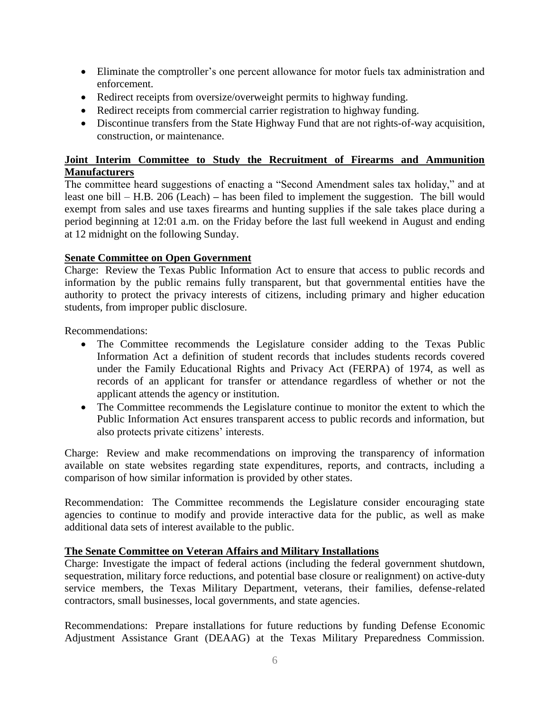- Eliminate the comptroller's one percent allowance for motor fuels tax administration and enforcement.
- Redirect receipts from oversize/overweight permits to highway funding.
- Redirect receipts from commercial carrier registration to highway funding.
- Discontinue transfers from the State Highway Fund that are not rights-of-way acquisition, construction, or maintenance.

### **Joint Interim Committee to Study the Recruitment of Firearms and Ammunition Manufacturers**

The committee heard suggestions of enacting a "Second Amendment sales tax holiday," and at least one bill – H.B. 206 (Leach) **–** has been filed to implement the suggestion. The bill would exempt from sales and use taxes firearms and hunting supplies if the sale takes place during a period beginning at 12:01 a.m. on the Friday before the last full weekend in August and ending at 12 midnight on the following Sunday.

### **Senate Committee on Open Government**

Charge: Review the Texas Public Information Act to ensure that access to public records and information by the public remains fully transparent, but that governmental entities have the authority to protect the privacy interests of citizens, including primary and higher education students, from improper public disclosure.

Recommendations:

- The Committee recommends the Legislature consider adding to the Texas Public Information Act a definition of student records that includes students records covered under the Family Educational Rights and Privacy Act (FERPA) of 1974, as well as records of an applicant for transfer or attendance regardless of whether or not the applicant attends the agency or institution.
- The Committee recommends the Legislature continue to monitor the extent to which the Public Information Act ensures transparent access to public records and information, but also protects private citizens' interests.

Charge: Review and make recommendations on improving the transparency of information available on state websites regarding state expenditures, reports, and contracts, including a comparison of how similar information is provided by other states.

Recommendation: The Committee recommends the Legislature consider encouraging state agencies to continue to modify and provide interactive data for the public, as well as make additional data sets of interest available to the public.

### **The Senate Committee on Veteran Affairs and Military Installations**

Charge: Investigate the impact of federal actions (including the federal government shutdown, sequestration, military force reductions, and potential base closure or realignment) on active-duty service members, the Texas Military Department, veterans, their families, defense-related contractors, small businesses, local governments, and state agencies.

Recommendations: Prepare installations for future reductions by funding Defense Economic Adjustment Assistance Grant (DEAAG) at the Texas Military Preparedness Commission.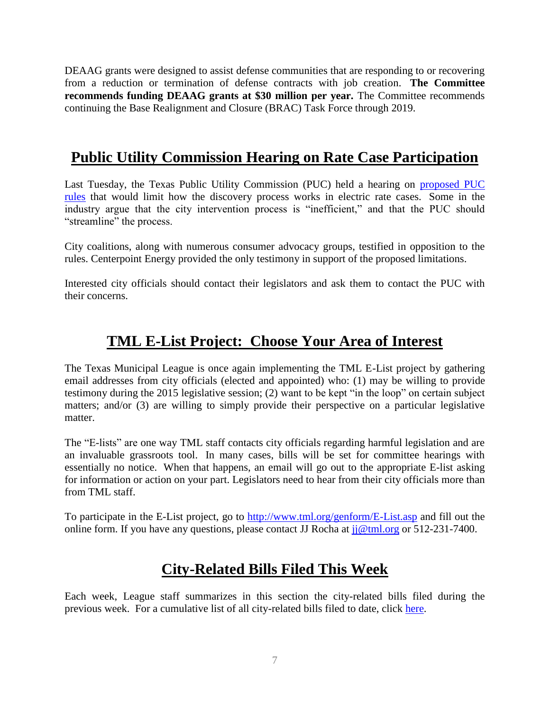DEAAG grants were designed to assist defense communities that are responding to or recovering from a reduction or termination of defense contracts with job creation. **The Committee recommends funding DEAAG grants at \$30 million per year.** The Committee recommends continuing the Base Realignment and Closure (BRAC) Task Force through 2019.

# **Public Utility Commission Hearing on Rate Case Participation**

Last Tuesday, the Texas Public Utility Commission (PUC) held a hearing on [proposed PUC](http://www.sos.state.tx.us/texreg/archive/November72014/Proposed%20Rules/16.ECONOMIC%20REGULATION.html)  [rules](http://www.sos.state.tx.us/texreg/archive/November72014/Proposed%20Rules/16.ECONOMIC%20REGULATION.html) that would limit how the discovery process works in electric rate cases. Some in the industry argue that the city intervention process is "inefficient," and that the PUC should "streamline" the process.

City coalitions, along with numerous consumer advocacy groups, testified in opposition to the rules. Centerpoint Energy provided the only testimony in support of the proposed limitations.

Interested city officials should contact their legislators and ask them to contact the PUC with their concerns.

# **TML E-List Project: Choose Your Area of Interest**

The Texas Municipal League is once again implementing the TML E-List project by gathering email addresses from city officials (elected and appointed) who: (1) may be willing to provide testimony during the 2015 legislative session; (2) want to be kept "in the loop" on certain subject matters; and/or (3) are willing to simply provide their perspective on a particular legislative matter.

The "E-lists" are one way TML staff contacts city officials regarding harmful legislation and are an invaluable grassroots tool. In many cases, bills will be set for committee hearings with essentially no notice. When that happens, an email will go out to the appropriate E-list asking for information or action on your part. Legislators need to hear from their city officials more than from TML staff.

To participate in the E-List project, go to<http://www.tml.org/genform/E-List.asp> and fill out the online form. If you have any questions, please contact JJ Rocha at  $ji@tml.org$  or 512-231-7400.

# **City-Related Bills Filed This Week**

Each week, League staff summarizes in this section the city-related bills filed during the previous week. For a cumulative list of all city-related bills filed to date, click [here.](http://www.tml.org/p/CityRelatedBills1_23_2015.pdf)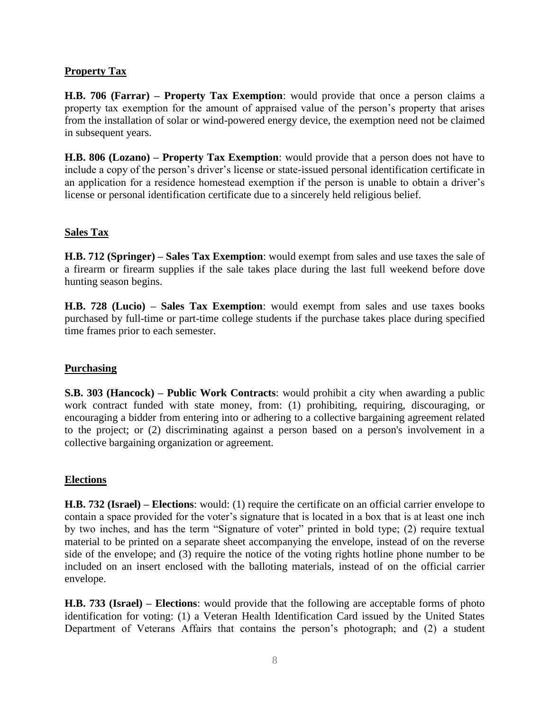### **Property Tax**

**H.B. 706 (Farrar) – Property Tax Exemption**: would provide that once a person claims a property tax exemption for the amount of appraised value of the person's property that arises from the installation of solar or wind-powered energy device, the exemption need not be claimed in subsequent years.

**H.B. 806 (Lozano) – Property Tax Exemption**: would provide that a person does not have to include a copy of the person's driver's license or state-issued personal identification certificate in an application for a residence homestead exemption if the person is unable to obtain a driver's license or personal identification certificate due to a sincerely held religious belief.

### **Sales Tax**

**H.B. 712 (Springer) – Sales Tax Exemption**: would exempt from sales and use taxes the sale of a firearm or firearm supplies if the sale takes place during the last full weekend before dove hunting season begins.

**H.B. 728 (Lucio) – Sales Tax Exemption**: would exempt from sales and use taxes books purchased by full-time or part-time college students if the purchase takes place during specified time frames prior to each semester.

### **Purchasing**

**S.B. 303 (Hancock) – Public Work Contracts**: would prohibit a city when awarding a public work contract funded with state money, from: (1) prohibiting, requiring, discouraging, or encouraging a bidder from entering into or adhering to a collective bargaining agreement related to the project; or (2) discriminating against a person based on a person's involvement in a collective bargaining organization or agreement.

### **Elections**

**H.B. 732 (Israel) – Elections**: would: (1) require the certificate on an official carrier envelope to contain a space provided for the voter's signature that is located in a box that is at least one inch by two inches, and has the term "Signature of voter" printed in bold type; (2) require textual material to be printed on a separate sheet accompanying the envelope, instead of on the reverse side of the envelope; and (3) require the notice of the voting rights hotline phone number to be included on an insert enclosed with the balloting materials, instead of on the official carrier envelope.

**H.B. 733 (Israel) – Elections**: would provide that the following are acceptable forms of photo identification for voting: (1) a Veteran Health Identification Card issued by the United States Department of Veterans Affairs that contains the person's photograph; and (2) a student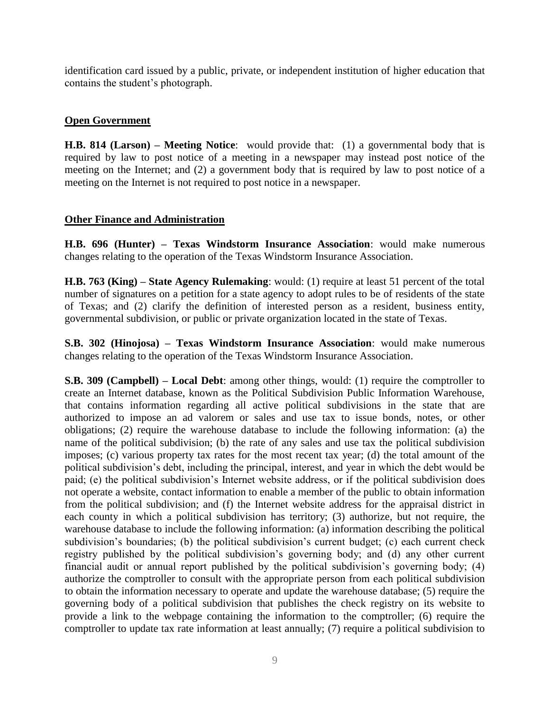identification card issued by a public, private, or independent institution of higher education that contains the student's photograph.

### **Open Government**

**H.B. 814 (Larson) – Meeting Notice**: would provide that: (1) a governmental body that is required by law to post notice of a meeting in a newspaper may instead post notice of the meeting on the Internet; and (2) a government body that is required by law to post notice of a meeting on the Internet is not required to post notice in a newspaper.

### **Other Finance and Administration**

**H.B. 696 (Hunter) – Texas Windstorm Insurance Association**: would make numerous changes relating to the operation of the Texas Windstorm Insurance Association.

**H.B. 763 (King) – State Agency Rulemaking**: would: (1) require at least 51 percent of the total number of signatures on a petition for a state agency to adopt rules to be of residents of the state of Texas; and (2) clarify the definition of interested person as a resident, business entity, governmental subdivision, or public or private organization located in the state of Texas.

**S.B. 302 (Hinojosa) – Texas Windstorm Insurance Association**: would make numerous changes relating to the operation of the Texas Windstorm Insurance Association.

**S.B. 309 (Campbell) – Local Debt**: among other things, would: (1) require the comptroller to create an Internet database, known as the Political Subdivision Public Information Warehouse, that contains information regarding all active political subdivisions in the state that are authorized to impose an ad valorem or sales and use tax to issue bonds, notes, or other obligations; (2) require the warehouse database to include the following information: (a) the name of the political subdivision; (b) the rate of any sales and use tax the political subdivision imposes; (c) various property tax rates for the most recent tax year; (d) the total amount of the political subdivision's debt, including the principal, interest, and year in which the debt would be paid; (e) the political subdivision's Internet website address, or if the political subdivision does not operate a website, contact information to enable a member of the public to obtain information from the political subdivision; and (f) the Internet website address for the appraisal district in each county in which a political subdivision has territory; (3) authorize, but not require, the warehouse database to include the following information: (a) information describing the political subdivision's boundaries; (b) the political subdivision's current budget; (c) each current check registry published by the political subdivision's governing body; and (d) any other current financial audit or annual report published by the political subdivision's governing body; (4) authorize the comptroller to consult with the appropriate person from each political subdivision to obtain the information necessary to operate and update the warehouse database; (5) require the governing body of a political subdivision that publishes the check registry on its website to provide a link to the webpage containing the information to the comptroller; (6) require the comptroller to update tax rate information at least annually; (7) require a political subdivision to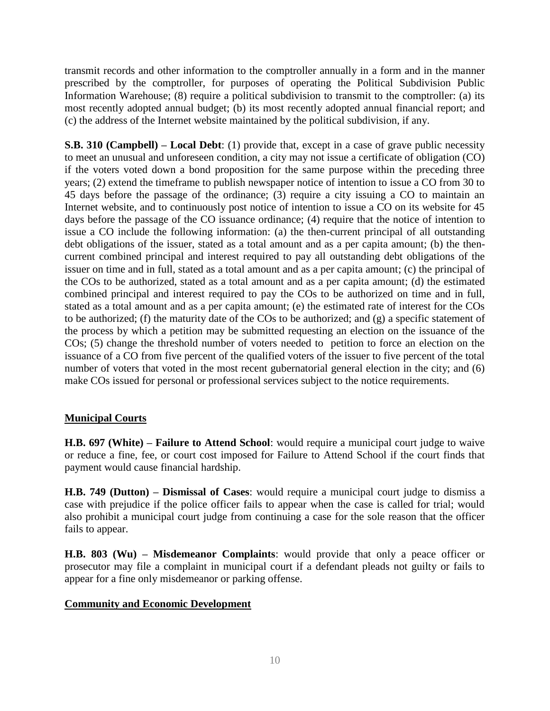transmit records and other information to the comptroller annually in a form and in the manner prescribed by the comptroller, for purposes of operating the Political Subdivision Public Information Warehouse; (8) require a political subdivision to transmit to the comptroller: (a) its most recently adopted annual budget; (b) its most recently adopted annual financial report; and (c) the address of the Internet website maintained by the political subdivision, if any.

**S.B. 310 (Campbell) – Local Debt**: (1) provide that, except in a case of grave public necessity to meet an unusual and unforeseen condition, a city may not issue a certificate of obligation (CO) if the voters voted down a bond proposition for the same purpose within the preceding three years; (2) extend the timeframe to publish newspaper notice of intention to issue a CO from 30 to 45 days before the passage of the ordinance; (3) require a city issuing a CO to maintain an Internet website, and to continuously post notice of intention to issue a CO on its website for 45 days before the passage of the CO issuance ordinance; (4) require that the notice of intention to issue a CO include the following information: (a) the then-current principal of all outstanding debt obligations of the issuer, stated as a total amount and as a per capita amount; (b) the thencurrent combined principal and interest required to pay all outstanding debt obligations of the issuer on time and in full, stated as a total amount and as a per capita amount; (c) the principal of the COs to be authorized, stated as a total amount and as a per capita amount; (d) the estimated combined principal and interest required to pay the COs to be authorized on time and in full, stated as a total amount and as a per capita amount; (e) the estimated rate of interest for the COs to be authorized; (f) the maturity date of the COs to be authorized; and (g) a specific statement of the process by which a petition may be submitted requesting an election on the issuance of the COs; (5) change the threshold number of voters needed to petition to force an election on the issuance of a CO from five percent of the qualified voters of the issuer to five percent of the total number of voters that voted in the most recent gubernatorial general election in the city; and (6) make COs issued for personal or professional services subject to the notice requirements.

### **Municipal Courts**

**H.B. 697 (White) – Failure to Attend School**: would require a municipal court judge to waive or reduce a fine, fee, or court cost imposed for Failure to Attend School if the court finds that payment would cause financial hardship.

**H.B. 749 (Dutton) – Dismissal of Cases**: would require a municipal court judge to dismiss a case with prejudice if the police officer fails to appear when the case is called for trial; would also prohibit a municipal court judge from continuing a case for the sole reason that the officer fails to appear.

**H.B. 803 (Wu) – Misdemeanor Complaints**: would provide that only a peace officer or prosecutor may file a complaint in municipal court if a defendant pleads not guilty or fails to appear for a fine only misdemeanor or parking offense.

### **Community and Economic Development**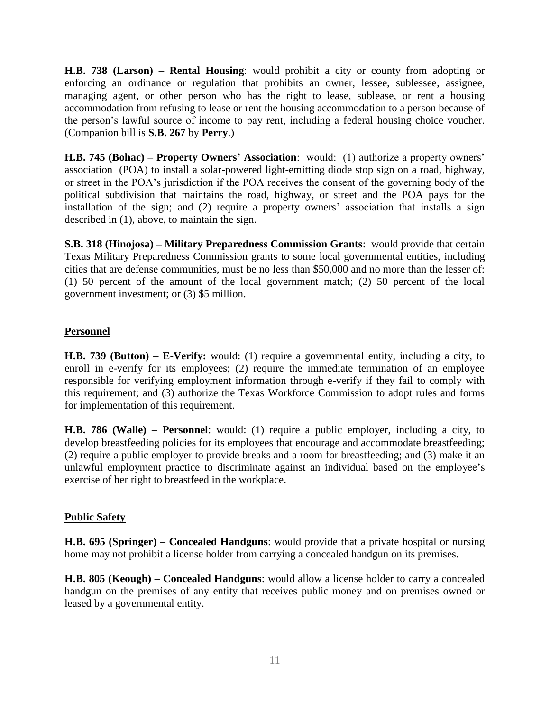**H.B. 738 (Larson) – Rental Housing**: would prohibit a city or county from adopting or enforcing an ordinance or regulation that prohibits an owner, lessee, sublessee, assignee, managing agent, or other person who has the right to lease, sublease, or rent a housing accommodation from refusing to lease or rent the housing accommodation to a person because of the person's lawful source of income to pay rent, including a federal housing choice voucher. (Companion bill is **S.B. 267** by **Perry**.)

**H.B. 745 (Bohac) – Property Owners' Association**: would: (1) authorize a property owners' association (POA) to install a solar-powered light-emitting diode stop sign on a road, highway, or street in the POA's jurisdiction if the POA receives the consent of the governing body of the political subdivision that maintains the road, highway, or street and the POA pays for the installation of the sign; and (2) require a property owners' association that installs a sign described in (1), above, to maintain the sign.

**S.B. 318 (Hinojosa) – Military Preparedness Commission Grants**: would provide that certain Texas Military Preparedness Commission grants to some local governmental entities, including cities that are defense communities, must be no less than \$50,000 and no more than the lesser of: (1) 50 percent of the amount of the local government match; (2) 50 percent of the local government investment; or (3) \$5 million.

### **Personnel**

**H.B. 739 (Button) – E-Verify:** would: (1) require a governmental entity, including a city, to enroll in e-verify for its employees; (2) require the immediate termination of an employee responsible for verifying employment information through e-verify if they fail to comply with this requirement; and (3) authorize the Texas Workforce Commission to adopt rules and forms for implementation of this requirement.

**H.B. 786 (Walle) – Personnel**: would: (1) require a public employer, including a city, to develop breastfeeding policies for its employees that encourage and accommodate breastfeeding; (2) require a public employer to provide breaks and a room for breastfeeding; and (3) make it an unlawful employment practice to discriminate against an individual based on the employee's exercise of her right to breastfeed in the workplace.

### **Public Safety**

**H.B. 695 (Springer) – Concealed Handguns**: would provide that a private hospital or nursing home may not prohibit a license holder from carrying a concealed handgun on its premises.

**H.B. 805 (Keough) – Concealed Handguns**: would allow a license holder to carry a concealed handgun on the premises of any entity that receives public money and on premises owned or leased by a governmental entity.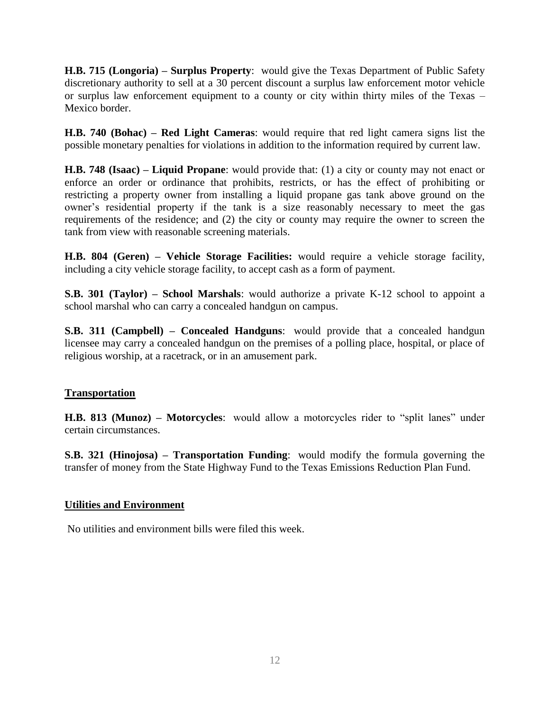**H.B. 715 (Longoria) – Surplus Property**: would give the Texas Department of Public Safety discretionary authority to sell at a 30 percent discount a surplus law enforcement motor vehicle or surplus law enforcement equipment to a county or city within thirty miles of the Texas – Mexico border.

**H.B. 740 (Bohac) – Red Light Cameras**: would require that red light camera signs list the possible monetary penalties for violations in addition to the information required by current law.

**H.B. 748 (Isaac) – Liquid Propane**: would provide that: (1) a city or county may not enact or enforce an order or ordinance that prohibits, restricts, or has the effect of prohibiting or restricting a property owner from installing a liquid propane gas tank above ground on the owner's residential property if the tank is a size reasonably necessary to meet the gas requirements of the residence; and (2) the city or county may require the owner to screen the tank from view with reasonable screening materials.

**H.B. 804 (Geren) – Vehicle Storage Facilities:** would require a vehicle storage facility, including a city vehicle storage facility, to accept cash as a form of payment.

**S.B. 301 (Taylor) – School Marshals**: would authorize a private K-12 school to appoint a school marshal who can carry a concealed handgun on campus.

**S.B. 311 (Campbell) – Concealed Handguns**: would provide that a concealed handgun licensee may carry a concealed handgun on the premises of a polling place, hospital, or place of religious worship, at a racetrack, or in an amusement park.

### **Transportation**

**H.B. 813 (Munoz) – Motorcycles**: would allow a motorcycles rider to "split lanes" under certain circumstances.

**S.B. 321 (Hinojosa) – Transportation Funding**: would modify the formula governing the transfer of money from the State Highway Fund to the Texas Emissions Reduction Plan Fund.

### **Utilities and Environment**

No utilities and environment bills were filed this week.